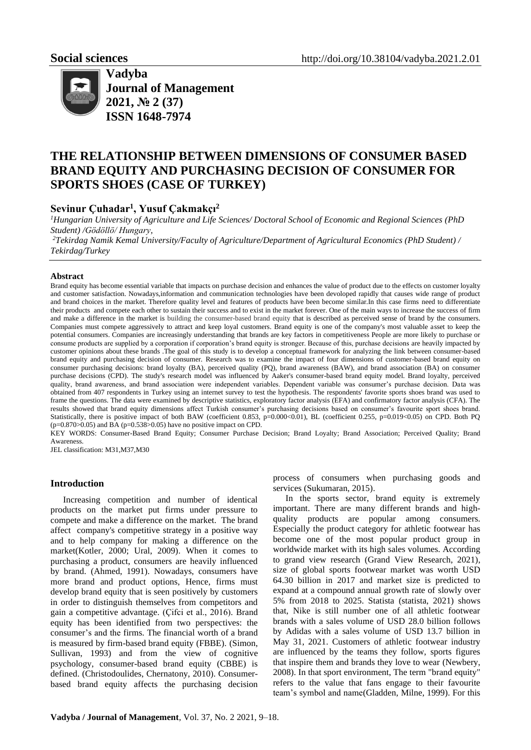

**Vadyba Journal of Management 2021, № 2 (37) ISSN 1648-7974**

# **THE RELATIONSHIP BETWEEN DIMENSIONS OF CONSUMER BASED BRAND EQUITY AND PURCHASING DECISION OF CONSUMER FOR SPORTS SHOES (CASE OF TURKEY)**

# **Sevinur Çuhadar<sup>1</sup> , Yusuf Çakmakçı<sup>2</sup>**

*<sup>1</sup>Hungarian University of Agriculture and Life Sciences/ Doctoral School of Economic and Regional Sciences (PhD Student) /Gödöllö/ Hungary,*

*<sup>2</sup>Tekirdag Namik Kemal University/Faculty of Agriculture/Department of Agricultural Economics (PhD Student) / Tekirdag/Turkey*

#### **Abstract**

Brand equity has become essential variable that impacts on purchase decision and enhances the value of product due to the effects on customer loyalty and customer satisfaction. Nowadays,information and communication technologies have been devoloped rapidly that causes wide range of product and brand choices in the market. Therefore quality level and features of products have been become similar.In this case firms need to differentiate their products and compete each other to sustain their success and to exist in the market forever. One of the main ways to increase the success of firm and make a difference in the market is building the consumer-based brand equity that is described as perceived sense of brand by the consumers. Companies must compete aggressively to attract and keep loyal customers. Brand equity is one of the company's most valuable asset to keep the potential consumers. Companies are increasingly understanding that brands are key factors in competitiveness People are more likely to purchase or consume products are supplied by a corporation if corporation's brand equity is stronger. Because of this, purchase decisions are heavily impacted by customer opinions about these brands .The goal of this study is to develop a conceptual framework for analyzing the link between consumer-based brand equity and purchasing decision of consumer. Research was to examine the impact of four dimensions of customer-based brand equity on consumer purchasing decisions: brand loyalty (BA), perceived quality (PQ), brand awareness (BAW), and brand association (BA) on consumer purchase decisions (CPD). The study's research model was influenced by Aaker's consumer-based brand equity model. Brand loyalty, perceived quality, brand awareness, and brand association were independent variables. Dependent variable was consumer's purchase decision. Data was obtained from 407 respondents in Turkey using an internet survey to test the hypothesis. The respondents' favorite sports shoes brand was used to frame the questions. The data were examined by descriptive statistics, exploratory factor analysis (EFA) and confirmatory factor analysis (CFA). The results showed that brand equity dimensions affect Turkish consumer's purchasing decisions based on consumer's favourite sport shoes brand. Statistically, there is positive impact of both BAW (coefficient 0.853, p=0.000<0.01), BL (coefficient 0.255, p=0.019<0.05) on CPD. Both PQ  $(p=0.870>0.05)$  and BA ( $p=0.538>0.05$ ) have no positive impact on CPD.

KEY WORDS: Consumer-Based Brand Equity; Consumer Purchase Decision; Brand Loyalty; Brand Association; Perceived Quality; Brand Awareness.

JEL classification: M31,M37,M30

## **Introduction**

Increasing competition and number of identical products on the market put firms under pressure to compete and make a difference on the market. The brand affect company's competitive strategy in a positive way and to help company for making a difference on the market(Kotler, 2000; Ural, 2009). When it comes to purchasing a product, consumers are heavily influenced by brand. (Ahmed, 1991). Nowadays, consumers have more brand and product options, Hence, firms must develop brand equity that is seen positively by customers in order to distinguish themselves from competitors and gain a competitive advantage. (Çifci et al., 2016). Brand equity has been identified from two perspectives: the consumer's and the firms. The financial worth of a brand is measured by firm-based brand equity (FBBE). (Simon, Sullivan, 1993) and from the view of cognitive psychology, consumer-based brand equity (CBBE) is defined. (Christodoulides, Chernatony, 2010). Consumerbased brand equity affects the purchasing decision

process of consumers when purchasing goods and services (Sukumaran, 2015).

In the sports sector, brand equity is extremely important. There are many different brands and highquality products are popular among consumers. Especially the product category for athletic footwear has become one of the most popular product group in worldwide market with its high sales volumes. According to grand view research (Grand View Research, 2021), size of global sports footwear market was worth USD 64.30 billion in 2017 and market size is predicted to expand at a compound annual growth rate of slowly over 5% from 2018 to 2025. Statista (statista, 2021) shows that, Nike is still number one of all athletic footwear brands with a sales volume of USD 28.0 billion follows by Adidas with a sales volume of USD 13.7 billion in May 31, 2021. Customers of athletic footwear industry are influenced by the teams they follow, sports figures that inspire them and brands they love to wear (Newbery, 2008). In that sport environment, The term "brand equity" refers to the value that fans engage to their favourite team's symbol and name(Gladden, Milne, 1999). For this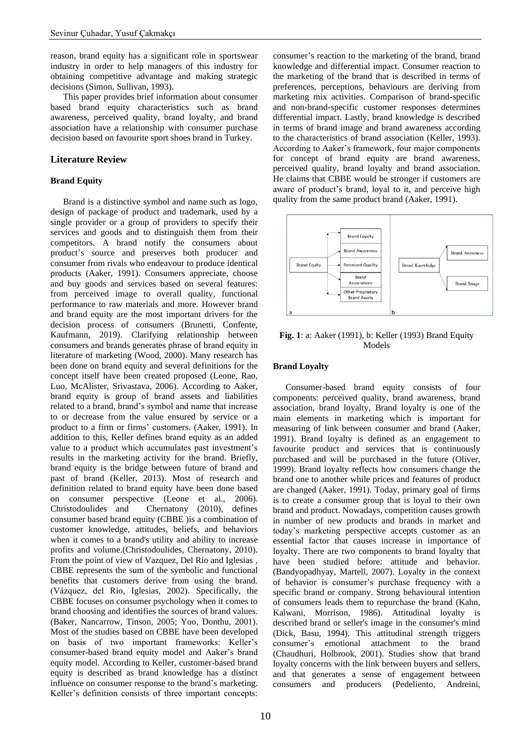reason, brand equity has a significant role in sportswear industry in order to help managers of this industry for obtaining competitive advantage and making strategic decisions (Simon, Sullivan, 1993).

This paper provides brief information about consumer based brand equity characteristics such as brand awareness, perceived quality, brand loyalty, and brand association have a relationship with consumer purchase decision based on favourite sport shoes brand in Turkey.

## **Literature Review**

## **Brand Equity**

Brand is a distinctive symbol and name such as logo, design of package of product and trademark, used by a single provider or a group of providers to specify their services and goods and to distinguish them from their competitors. A brand notify the consumers about product's source and preserves both producer and consumer from rivals who endeavour to produce identical products (Aaker, 1991). Consumers appreciate, choose and buy goods and services based on several features: from perceived image to overall quality, functional performance to raw materials and more. However brand and brand equity are the most important drivers for the decision process of consumers (Brunetti, Confente, Kaufmann, 2019). Clarifying relationship between consumers and brands generates phrase of brand equity in literature of marketing (Wood, 2000). Many research has been done on brand equity and several definitions for the concept itself have been created proposed (Leone, Rao, Luo, McAlister, Srivastava, 2006). According to Aaker, brand equity is group of brand assets and liabilities related to a brand, brand's symbol and name that increase to or decrease from the value ensured by service or a product to a firm or firms' customers. (Aaker, 1991). In addition to this, Keller defines brand equity as an added value to a product which accumulates past investment's results in the marketing activity for the brand. Briefly, brand equity is the bridge between future of brand and past of brand (Keller, 2013). Most of research and definition related to brand equity have been done based on consumer perspective (Leone et al., 2006). Christodoulides and Chernatony (2010), defines consumer based brand equity (CBBE )is a combination of customer knowledge, attitudes, beliefs, and behaviors when it comes to a brand's utility and ability to increase profits and volume.(Christodoulides, Chernatony, 2010). From the point of view of Vazquez, Del Rio and Iglesias , CBBE represents the sum of the symbolic and functional benefits that customers derive from using the brand. (Vázquez, del Rio, Iglesias, 2002). Specifically, the CBBE focuses on consumer psychology when it comes to brand choosing and identifies the sources of brand values. (Baker, Nancarrow, Tinson, 2005; Yoo, Donthu, 2001). Most of the studies based on CBBE have been developed on basis of two important frameworks: Keller's consumer-based brand equity model and Aaker's brand equity model. According to Keller, customer-based brand equity is described as brand knowledge has a distinct influence on consumer response to the brand's marketing. Keller's definition consists of three important concepts:

consumer's reaction to the marketing of the brand, brand knowledge and differential impact. Consumer reaction to the marketing of the brand that is described in terms of preferences, perceptions, behaviours are deriving from marketing mix activities. Comparison of brand-specific and non-brand-specific customer responses determines differential impact. Lastly, brand knowledge is described in terms of brand image and brand awareness according to the characteristics of brand association (Keller, 1993). According to Aaker's framework, four major components for concept of brand equity are brand awareness, perceived quality, brand loyalty and brand association. He claims that CBBE would be stronger if customers are aware of product's brand, loyal to it, and perceive high quality from the same product brand (Aaker, 1991).



**Fig. 1**: a: Aaker (1991), b: Keller (1993) Brand Equity Models

## **Brand Loyalty**

Consumer-based brand equity consists of four components: perceived quality, brand awareness, brand association, brand loyalty, Brand loyalty is one of the main elements in marketing which is important for measuring of link between consumer and brand (Aaker, 1991). Brand loyalty is defined as an engagement to favourite product and services that is continuously purchased and will be purchased in the future (Oliver, 1999). Brand loyalty reflects how consumers change the brand one to another while prices and features of product are changed (Aaker, 1991). Today, primary goal of firms is to create a consumer group that is loyal to their own brand and product. Nowadays, competition causes growth in number of new products and brands in market and today's marketing perspective accepts customer as an essential factor that causes increase in importance of loyalty. There are two components to brand loyalty that have been studied before: attitude and behavior. (Bandyopadhyay, Martell, 2007). Loyalty in the context of behavior is consumer's purchase frequency with a specific brand or company. Strong behavioural intention of consumers leads them to repurchase the brand (Kahn, Kalwani, Morrison, 1986). Attitudinal loyalty is described brand or seller's image in the consumer's mind (Dick, Basu, 1994). This attitudinal strength triggers consumer's emotional attachment to the brand (Chaudhuri, Holbrook, 2001). Studies show that brand loyalty concerns with the link between buyers and sellers, and that generates a sense of engagement between consumers and producers (Pedeliento, Andreini,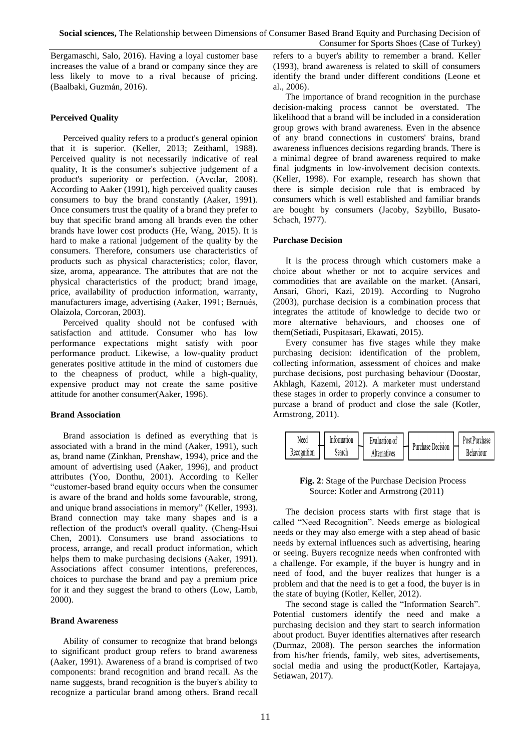Bergamaschi, Salo, 2016). Having a loyal customer base increases the value of a brand or company since they are less likely to move to a rival because of pricing. (Baalbaki, Guzmán, 2016).

## **Perceived Quality**

Perceived quality refers to a product's general opinion that it is superior. (Keller, 2013; Zeithaml, 1988). Perceived quality is not necessarily indicative of real quality, It is the consumer's subjective judgement of a product's superiority or perfection. (Avcılar, 2008). According to Aaker (1991), high perceived quality causes consumers to buy the brand constantly (Aaker, 1991). Once consumers trust the quality of a brand they prefer to buy that specific brand among all brands even the other brands have lower cost products (He, Wang, 2015). It is hard to make a rational judgement of the quality by the consumers. Therefore, consumers use characteristics of products such as physical characteristics; color, flavor, size, aroma, appearance. The attributes that are not the physical characteristics of the product; brand image, price, availability of production information, warranty, manufacturers image, advertising (Aaker, 1991; Bernués, Olaizola, Corcoran, 2003).

Perceived quality should not be confused with satisfaction and attitude. Consumer who has low performance expectations might satisfy with poor performance product. Likewise, a low-quality product generates positive attitude in the mind of customers due to the cheapness of product, while a high-quality, expensive product may not create the same positive attitude for another consumer(Aaker, 1996).

## **Brand Association**

Brand association is defined as everything that is associated with a brand in the mind (Aaker, 1991), such as, brand name (Zinkhan, Prenshaw, 1994), price and the amount of advertising used (Aaker, 1996), and product attributes (Yoo, Donthu, 2001). According to Keller "customer-based brand equity occurs when the consumer is aware of the brand and holds some favourable, strong, and unique brand associations in memory" (Keller, 1993). Brand connection may take many shapes and is a reflection of the product's overall quality. (Cheng‐Hsui Chen, 2001). Consumers use brand associations to process, arrange, and recall product information, which helps them to make purchasing decisions (Aaker, 1991). Associations affect consumer intentions, preferences, choices to purchase the brand and pay a premium price for it and they suggest the brand to others (Low, Lamb, 2000).

#### **Brand Awareness**

Ability of consumer to recognize that brand belongs to significant product group refers to brand awareness (Aaker, 1991). Awareness of a brand is comprised of two components: brand recognition and brand recall. As the name suggests, brand recognition is the buyer's ability to recognize a particular brand among others. Brand recall refers to a buyer's ability to remember a brand. Keller (1993), brand awareness is related to skill of consumers identify the brand under different conditions (Leone et al., 2006).

The importance of brand recognition in the purchase decision-making process cannot be overstated. The likelihood that a brand will be included in a consideration group grows with brand awareness. Even in the absence of any brand connections in customers' brains, brand awareness influences decisions regarding brands. There is a minimal degree of brand awareness required to make final judgments in low-involvement decision contexts. (Keller, 1998). For example, research has shown that there is simple decision rule that is embraced by consumers which is well established and familiar brands are bought by consumers (Jacoby, Szybillo, Busato-Schach, 1977).

#### **Purchase Decision**

It is the process through which customers make a choice about whether or not to acquire services and commodities that are available on the market. (Ansari, Ansari, Ghori, Kazi, 2019). According to Nugroho (2003), purchase decision is a combination process that integrates the attitude of knowledge to decide two or more alternative behaviours, and chooses one of them(Setiadi, Puspitasari, Ekawati, 2015).

Every consumer has five stages while they make purchasing decision: identification of the problem, collecting information, assessment of choices and make purchase decisions, post purchasing behaviour (Doostar, Akhlagh, Kazemi, 2012). A marketer must understand these stages in order to properly convince a consumer to purcase a brand of product and close the sale (Kotler, Armstrong, 2011).



## **Fig. 2**: Stage of the Purchase Decision Process Source: Kotler and Armstrong (2011)

The decision process starts with first stage that is called "Need Recognition". Needs emerge as biological needs or they may also emerge with a step ahead of basic needs by external influences such as advertising, hearing or seeing. Buyers recognize needs when confronted with a challenge. For example, if the buyer is hungry and in need of food, and the buyer realizes that hunger is a problem and that the need is to get a food, the buyer is in the state of buying (Kotler, Keller, 2012).

The second stage is called the "Information Search". Potential customers identify the need and make a purchasing decision and they start to search information about product. Buyer identifies alternatives after research (Durmaz, 2008). The person searches the information from his/her friends, family, web sites, advertisements, social media and using the product(Kotler, Kartajaya, Setiawan, 2017).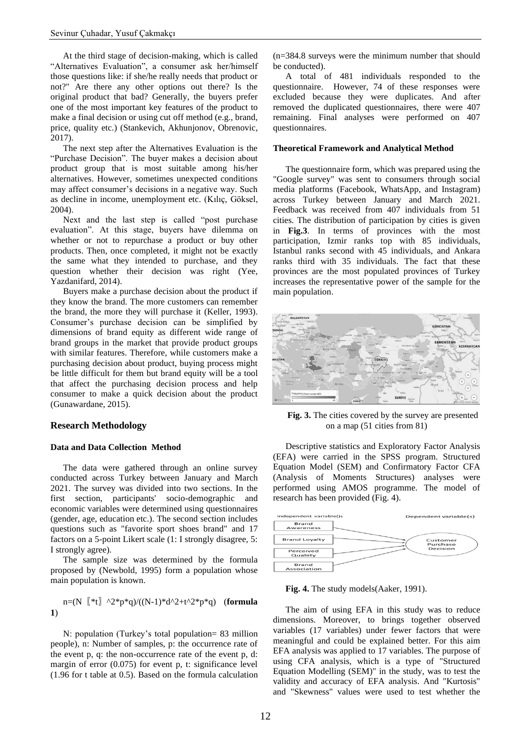At the third stage of decision-making, which is called "Alternatives Evaluation", a consumer ask her/himself those questions like: if she/he really needs that product or not?" Are there any other options out there? Is the original product that bad? Generally, the buyers prefer one of the most important key features of the product to make a final decision or using cut off method (e.g., brand, price, quality etc.) (Stankevich, Akhunjonov, Obrenovic, 2017).

The next step after the Alternatives Evaluation is the "Purchase Decision". The buyer makes a decision about product group that is most suitable among his/her alternatives. However, sometimes unexpected conditions may affect consumer's decisions in a negative way. Such as decline in income, unemployment etc. (Kılıç, Göksel, 2004).

Next and the last step is called "post purchase evaluation". At this stage, buyers have dilemma on whether or not to repurchase a product or buy other products. Then, once completed, it might not be exactly the same what they intended to purchase, and they question whether their decision was right (Yee, Yazdanifard, 2014).

Buyers make a purchase decision about the product if they know the brand. The more customers can remember the brand, the more they will purchase it (Keller, 1993). Consumer's purchase decision can be simplified by dimensions of brand equity as different wide range of brand groups in the market that provide product groups with similar features. Therefore, while customers make a purchasing decision about product, buying process might be little difficult for them but brand equity will be a tool that affect the purchasing decision process and help consumer to make a quick decision about the product (Gunawardane, 2015).

#### **Research Methodology**

#### **Data and Data Collection Method**

The data were gathered through an online survey conducted across Turkey between January and March 2021. The survey was divided into two sections. In the first section, participants' socio-demographic and economic variables were determined using questionnaires (gender, age, education etc.). The second section includes questions such as "favorite sport shoes brand" and 17 factors on a 5-point Likert scale (1: I strongly disagree, 5: I strongly agree).

The sample size was determined by the formula proposed by (Newbold, 1995) form a population whose main population is known.

## $n=(N \binom{*}{k} \Delta^2 *p^*q)/((N-1)*d^2+t^2*p^*q)$  (**formula 1**)

N: population (Turkey's total population= 83 million people), n: Number of samples, p: the occurrence rate of the event p, q: the non-occurrence rate of the event p, d: margin of error  $(0.075)$  for event p, t: significance level (1.96 for t table at 0.5). Based on the formula calculation (n=384.8 surveys were the minimum number that should be conducted).

A total of 481 individuals responded to the questionnaire. However, 74 of these responses were excluded because they were duplicates. And after removed the duplicated questionnaires, there were 407 remaining. Final analyses were performed on 407 questionnaires.

#### **Theoretical Framework and Analytical Method**

The questionnaire form, which was prepared using the "Google survey" was sent to consumers through social media platforms (Facebook, WhatsApp, and Instagram) across Turkey between January and March 2021. Feedback was received from 407 individuals from 51 cities. The distribution of participation by cities is given in **Fig.3**. In terms of provinces with the most participation, Izmir ranks top with 85 individuals, Istanbul ranks second with 45 individuals, and Ankara ranks third with 35 individuals. The fact that these provinces are the most populated provinces of Turkey increases the representative power of the sample for the main population.



**Fig. 3.** The cities covered by the survey are presented on a map (51 cities from 81)

Descriptive statistics and Exploratory Factor Analysis (EFA) were carried in the SPSS program. Structured Equation Model (SEM) and Confirmatory Factor CFA (Analysis of Moments Structures) analyses were performed using AMOS programme. The model of research has been provided (Fig. 4).



**Fig. 4.** The study models(Aaker, 1991).

The aim of using EFA in this study was to reduce dimensions. Moreover, to brings together observed variables (17 variables) under fewer factors that were meaningful and could be explained better. For this aim EFA analysis was applied to 17 variables. The purpose of using CFA analysis, which is a type of "Structured Equation Modelling (SEM)" in the study, was to test the validity and accuracy of EFA analysis. And "Kurtosis" and "Skewness" values were used to test whether the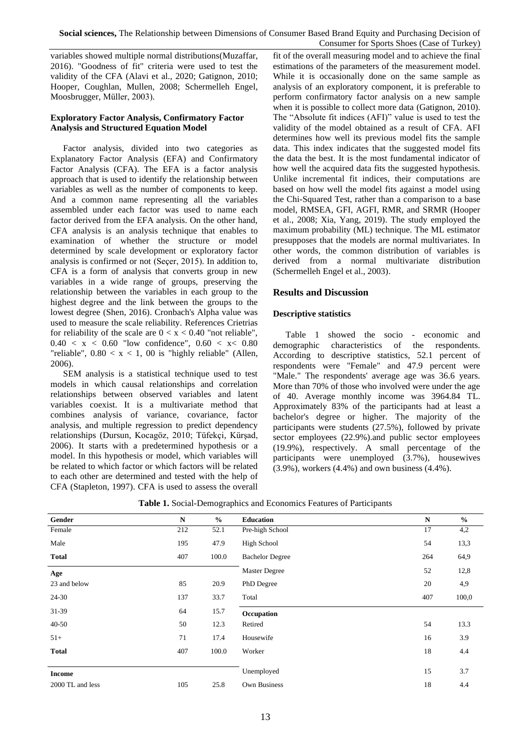variables showed multiple normal distributions(Muzaffar, 2016). "Goodness of fit" criteria were used to test the validity of the CFA (Alavi et al., 2020; Gatignon, 2010; Hooper, Coughlan, Mullen, 2008; Schermelleh Engel, Moosbrugger, Müller, 2003).

## **Exploratory Factor Analysis, Confirmatory Factor Analysis and Structured Equation Model**

Factor analysis, divided into two categories as Explanatory Factor Analysis (EFA) and Confirmatory Factor Analysis (CFA). The EFA is a factor analysis approach that is used to identify the relationship between variables as well as the number of components to keep. And a common name representing all the variables assembled under each factor was used to name each factor derived from the EFA analysis. On the other hand, CFA analysis is an analysis technique that enables to examination of whether the structure or model determined by scale development or exploratory factor analysis is confirmed or not (Seçer, 2015). In addition to, CFA is a form of analysis that converts group in new variables in a wide range of groups, preserving the relationship between the variables in each group to the highest degree and the link between the groups to the lowest degree (Shen, 2016). Cronbach's Alpha value was used to measure the scale reliability. References Crietrias for reliability of the scale are  $0 < x < 0.40$  "not reliable",  $0.40 < x < 0.60$  "low confidence",  $0.60 < x < 0.80$ "reliable",  $0.80 < x < 1$ , 00 is "highly reliable" (Allen, 2006).

SEM analysis is a statistical technique used to test models in which causal relationships and correlation relationships between observed variables and latent variables coexist. It is a multivariate method that combines analysis of variance, covariance, factor analysis, and multiple regression to predict dependency relationships (Dursun, Kocagöz, 2010; Tüfekçi, Kürşad, 2006). It starts with a predetermined hypothesis or a model. In this hypothesis or model, which variables will be related to which factor or which factors will be related to each other are determined and tested with the help of CFA (Stapleton, 1997). CFA is used to assess the overall

fit of the overall measuring model and to achieve the final estimations of the parameters of the measurement model. While it is occasionally done on the same sample as analysis of an exploratory component, it is preferable to perform confirmatory factor analysis on a new sample when it is possible to collect more data (Gatignon, 2010). The "Absolute fit indices (AFI)" value is used to test the validity of the model obtained as a result of CFA. AFI determines how well its previous model fits the sample data. This index indicates that the suggested model fits the data the best. It is the most fundamental indicator of how well the acquired data fits the suggested hypothesis. Unlike incremental fit indices, their computations are based on how well the model fits against a model using the Chi-Squared Test, rather than a comparison to a base model, RMSEA, GFI, AGFI, RMR, and SRMR (Hooper et al., 2008; Xia, Yang, 2019). The study employed the maximum probability (ML) technique. The ML estimator presupposes that the models are normal multivariates. In other words, the common distribution of variables is derived from a normal multivariate distribution (Schermelleh Engel et al., 2003).

## **Results and Discussion**

## **Descriptive statistics**

Table 1 showed the socio - economic and demographic characteristics of the respondents. According to descriptive statistics, 52.1 percent of respondents were "Female" and 47.9 percent were "Male." The respondents' average age was 36.6 years. More than 70% of those who involved were under the age of 40. Average monthly income was 3964.84 TL. Approximately 83% of the participants had at least a bachelor's degree or higher. The majority of the participants were students (27.5%), followed by private sector employees (22.9%).and public sector employees (19.9%), respectively. A small percentage of the participants were unemployed (3.7%), housewives (3.9%), workers (4.4%) and own business (4.4%).

|                  |           | ັ<br>$\overline{ }$ |                        |             |               |
|------------------|-----------|---------------------|------------------------|-------------|---------------|
| Gender           | ${\bf N}$ | $\frac{6}{6}$       | <b>Education</b>       | $\mathbf N$ | $\frac{0}{0}$ |
| Female           | 212       | 52.1                | Pre-high School        | 17          | 4,2           |
| Male             | 195       | 47.9                | <b>High School</b>     | 54          | 13,3          |
| <b>Total</b>     | 407       | 100.0               | <b>Bachelor Degree</b> | 264         | 64,9          |
| Age              |           |                     | Master Degree          | 52          | 12,8          |
| 23 and below     | 85        | 20.9                | PhD Degree             | 20          | 4,9           |
| 24-30            | 137       | 33.7                | Total                  | 407         | 100,0         |
| 31-39            | 64        | 15.7                | Occupation             |             |               |
| $40 - 50$        | 50        | 12.3                | Retired                | 54          | 13.3          |
| $51+$            | 71        | 17.4                | Housewife              | 16          | 3.9           |
| <b>Total</b>     | 407       | 100.0               | Worker                 | 18          | 4.4           |
|                  |           |                     |                        |             |               |
| <b>Income</b>    |           |                     | Unemployed             | 15          | 3.7           |
| 2000 TL and less | 105       | 25.8                | Own Business           | 18          | 4.4           |

**Table 1.** Social-Demographics and Economics Features of Participants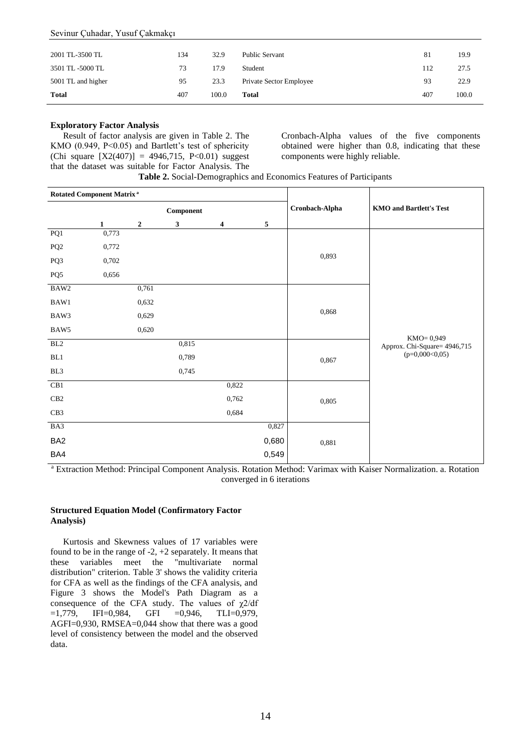#### Sevinur Çuhadar, Yusuf Çakmakçı

| 2001 TL-3500 TL    | 134 | 32.9  | Public Servant          | 81  | 19.9  |
|--------------------|-----|-------|-------------------------|-----|-------|
| 3501 TL-5000 TL    | 73  | 17.9  | Student                 | 112 | 27.5  |
| 5001 TL and higher | 95  | 23.3  | Private Sector Employee | 93  | 22.9  |
| <b>Total</b>       | 407 | 100.0 | <b>Total</b>            | 407 | 100.0 |

#### **Exploratory Factor Analysis**

Result of factor analysis are given in Table 2. The KMO (0.949, P<0.05) and Bartlett's test of sphericity (Chi square  $[X2(407)] = 4946,715, P<0.01$ ) suggest that the dataset was suitable for Factor Analysis. The

Cronbach-Alpha values of the five components obtained were higher than 0.8, indicating that these components were highly reliable.

| Rotated Component Matrix <sup>a</sup> |              |                |              |       |                | <b>KMO</b> and Bartlett's Test |                                            |  |
|---------------------------------------|--------------|----------------|--------------|-------|----------------|--------------------------------|--------------------------------------------|--|
| Component                             |              |                |              |       | Cronbach-Alpha |                                |                                            |  |
|                                       | $\mathbf{1}$ | $\overline{2}$ | $\mathbf{3}$ | 4     | 5              |                                |                                            |  |
| $\overline{PQ1}$                      | 0,773        |                |              |       |                |                                |                                            |  |
| PQ <sub>2</sub>                       | 0,772        |                |              |       |                |                                |                                            |  |
| PQ3                                   | 0,702        |                |              |       |                | 0,893                          |                                            |  |
| PQ5                                   | 0,656        |                |              |       |                |                                |                                            |  |
| BAW2                                  |              | 0,761          |              |       |                |                                |                                            |  |
| BAW1                                  |              | 0,632          |              |       |                | 0,868                          |                                            |  |
| BAW3                                  |              | 0,629          |              |       |                |                                |                                            |  |
| BAW5                                  |              | 0,620          |              |       |                |                                |                                            |  |
| BL2                                   |              |                | 0,815        |       |                |                                | KMO= 0,949<br>Approx. Chi-Square= 4946,715 |  |
| BL1                                   |              |                | 0,789        |       |                | 0,867                          | $(p=0,000<0,05)$                           |  |
| BL3                                   |              |                | 0,745        |       |                |                                |                                            |  |
| CB1                                   |              |                |              | 0,822 |                |                                |                                            |  |
| CB2                                   |              |                |              | 0,762 |                | 0,805                          |                                            |  |
| CB <sub>3</sub>                       |              |                |              | 0,684 |                |                                |                                            |  |
| BA3                                   |              |                |              |       | 0,827          |                                |                                            |  |
| BA <sub>2</sub>                       |              |                |              |       | 0,680          | 0,881                          |                                            |  |
| BA4                                   |              |                |              |       | 0,549          |                                |                                            |  |

<sup>a</sup> Extraction Method: Principal Component Analysis. Rotation Method: Varimax with Kaiser Normalization. a. Rotation converged in 6 iterations

#### **Structured Equation Model (Confirmatory Factor Analysis)**

Kurtosis and Skewness values of 17 variables were found to be in the range of -2, +2 separately. It means that these variables meet the "multivariate normal distribution" criterion. Table 3' shows the validity criteria for CFA as well as the findings of the CFA analysis, and Figure 3 shows the Model's Path Diagram as a consequence of the CFA study. The values of  $\chi$ 2/df  $=1,779$ , IFI=0,984, GFI =0,946, TLI=0,979, AGFI=0,930, RMSEA=0,044 show that there was a good level of consistency between the model and the observed data.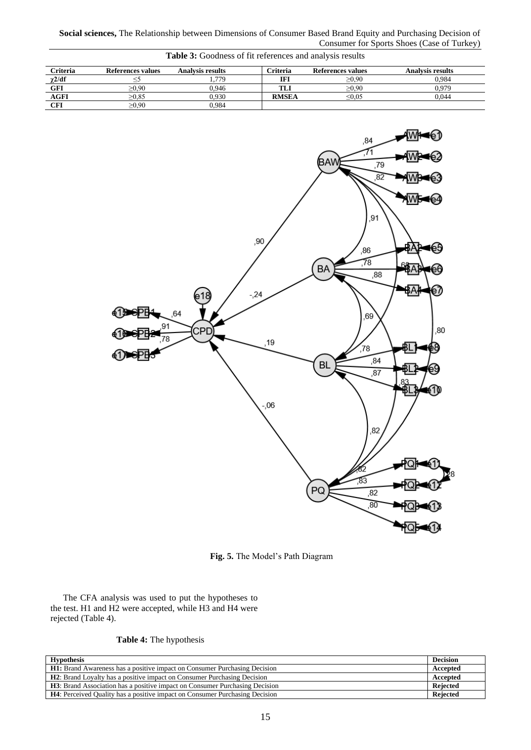**Social sciences,** The Relationship between Dimensions of Consumer Based Brand Equity and Purchasing Decision of Consumer for Sports Shoes (Case of Turkey)

| <b>Table 3:</b> Goodness of fit references and analysis results |                   |                         |              |                   |                         |  |
|-----------------------------------------------------------------|-------------------|-------------------------|--------------|-------------------|-------------------------|--|
| <b>Criteria</b>                                                 | References values | <b>Analysis results</b> | Criteria     | References values | <b>Analysis results</b> |  |
| $\chi$ 2/df                                                     |                   | . 779                   | IFI          | $\geq 0.90$       | 0.984                   |  |
| GFI                                                             | >0.90             | 0.946                   | TLI          | $\geq 0.90$       | 0.979                   |  |
| <b>AGFI</b>                                                     | >0.85             | 0.930                   | <b>RMSEA</b> | $\leq 0.05$       | 0.044                   |  |
| CFI                                                             | $_{\geq 0.90}$    | 0.984                   |              |                   |                         |  |



**Fig. 5.** The Model's Path Diagram

The CFA analysis was used to put the hypotheses to the test. H1 and H2 were accepted, while H3 and H4 were rejected (Table 4).

|  |  |  | Table 4: The hypothesis |  |
|--|--|--|-------------------------|--|
|--|--|--|-------------------------|--|

| <b>Hypothesis</b>                                                                   |          |  |  |  |
|-------------------------------------------------------------------------------------|----------|--|--|--|
| <b>H1:</b> Brand Awareness has a positive impact on Consumer Purchasing Decision    | Accepted |  |  |  |
| <b>H2</b> : Brand Loyalty has a positive impact on Consumer Purchasing Decision     | Accepted |  |  |  |
| <b>H3</b> : Brand Association has a positive impact on Consumer Purchasing Decision | Rejected |  |  |  |
| <b>H4</b> : Perceived Ouality has a positive impact on Consumer Purchasing Decision | Rejected |  |  |  |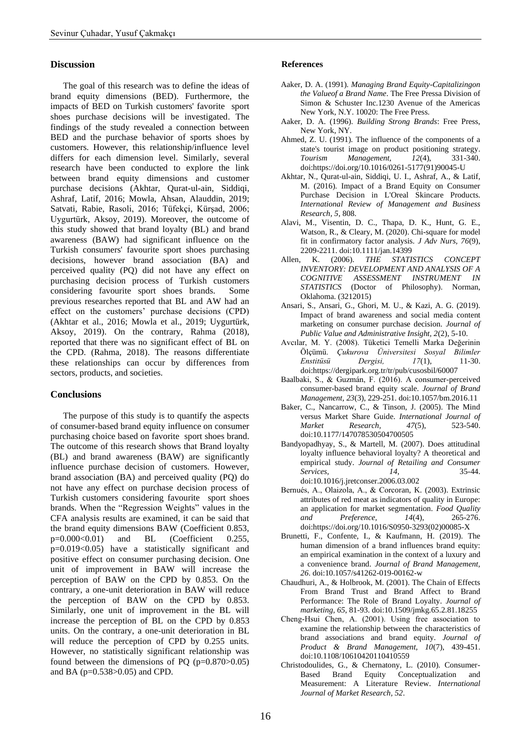#### **Discussion**

The goal of this research was to define the ideas of brand equity dimensions (BED). Furthermore, the impacts of BED on Turkish customers' favorite sport shoes purchase decisions will be investigated. The findings of the study revealed a connection between BED and the purchase behavior of sports shoes by customers. However, this relationship/influence level differs for each dimension level. Similarly, several research have been conducted to explore the link between brand equity dimensions and customer purchase decisions (Akhtar, Qurat-ul-ain, Siddiqi, Ashraf, Latif, 2016; Mowla, Ahsan, Alauddin, 2019; Satvati, Rabie, Rasoli, 2016; Tüfekçi, Kürşad, 2006; Uygurtürk, Aksoy, 2019). Moreover, the outcome of this study showed that brand loyalty (BL) and brand awareness (BAW) had significant influence on the Turkish consumers' favourite sport shoes purchasing decisions, however brand association (BA) and perceived quality (PQ) did not have any effect on purchasing decision process of Turkish customers considering favourite sport shoes brands. Some previous researches reported that BL and AW had an effect on the customers' purchase decisions (CPD) (Akhtar et al., 2016; Mowla et al., 2019; Uygurtürk, Aksoy, 2019). On the contrary, Rahma (2018), reported that there was no significant effect of BL on the CPD. (Rahma, 2018). The reasons differentiate these relationships can occur by differences from sectors, products, and societies.

#### **Conclusions**

The purpose of this study is to quantify the aspects of consumer-based brand equity influence on consumer purchasing choice based on favorite sport shoes brand. The outcome of this research shows that Brand loyalty (BL) and brand awareness (BAW) are significantly influence purchase decision of customers. However, brand association (BA) and perceived quality (PQ) do not have any effect on purchase decision process of Turkish customers considering favourite sport shoes brands. When the "Regression Weights" values in the CFA analysis results are examined, it can be said that the brand equity dimensions BAW (Coefficient 0.853, p=0.000<0.01) and BL (Coefficient 0.255, p=0.019<0.05) have a statistically significant and positive effect on consumer purchasing decision. One unit of improvement in BAW will increase the perception of BAW on the CPD by 0.853. On the contrary, a one-unit deterioration in BAW will reduce the perception of BAW on the CPD by 0.853. Similarly, one unit of improvement in the BL will increase the perception of BL on the CPD by 0.853 units. On the contrary, a one-unit deterioration in BL will reduce the perception of CPD by 0.255 units. However, no statistically significant relationship was found between the dimensions of PQ (p=0.870>0.05) and BA (p=0.538>0.05) and CPD.

#### **References**

- Aaker, D. A. (1991). *Managing Brand Equity-Capitalizingon the Valueof a Brand Name*. The Free Pressa Division of Simon & Schuster Inc.1230 Avenue of the Americas New York, N.Y. 10020: The Free Press.
- Aaker, D. A. (1996). *Building Strong Brands*: Free Press, New York, NY.
- Ahmed, Z. U. (1991). The influence of the components of a state's tourist image on product positioning strategy. *Tourism Management, 12*(4), 331-340. doi[:https://doi.org/10.1016/0261-5177\(91\)90045-U](https://doi.org/10.1016/0261-5177(91)90045-U)
- Akhtar, N., Qurat-ul-ain, Siddiqi, U. I., Ashraf, A., & Latif, M. (2016). Impact of a Brand Equity on Consumer Purchase Decision in L'Oreal Skincare Products. *International Review of Management and Business Research, 5*, 808.
- Alavi, M., Visentin, D. C., Thapa, D. K., Hunt, G. E., Watson, R., & Cleary, M. (2020). Chi-square for model fit in confirmatory factor analysis. *J Adv Nurs, 76*(9), 2209-2211. doi:10.1111/jan.14399
- Allen, K. (2006). *THE STATISTICS CONCEPT INVENTORY: DEVELOPMENT AND ANALYSIS OF A COGNITIVE ASSESSMENT INSTRUMENT IN STATISTICS* (Doctor of Philosophy). Norman, Oklahoma. (3212015)
- Ansari, S., Ansari, G., Ghori, M. U., & Kazi, A. G. (2019). Impact of brand awareness and social media content marketing on consumer purchase decision. *Journal of Public Value and Administrative Insight, 2*(2), 5-10.
- Avcılar, M. Y. (2008). Tüketici Temelli Marka Değerinin Ölçümü. *Çukurova Üniversitesi Sosyal Bilimler Enstitüsü Dergisi, 17*(1), 11-30. doi[:https://dergipark.org.tr/tr/pub/cusosbil/60007](https://dergipark.org.tr/tr/pub/cusosbil/60007)
- Baalbaki, S., & Guzmán, F. (2016). A consumer-perceived consumer-based brand equity scale. *Journal of Brand Management, 23*(3), 229-251. doi:10.1057/bm.2016.11
- Baker, C., Nancarrow, C., & Tinson, J. (2005). The Mind versus Market Share Guide. *International Journal of Market Research, 47*(5), 523-540. doi:10.1177/147078530504700505
- Bandyopadhyay, S., & Martell, M. (2007). Does attitudinal loyalty influence behavioral loyalty? A theoretical and empirical study. *Journal of Retailing and Consumer Services, 14*, 35-44. doi:10.1016/j.jretconser.2006.03.002
- Bernués, A., Olaizola, A., & Corcoran, K. (2003). Extrinsic attributes of red meat as indicators of quality in Europe: an application for market segmentation. *Food Quality and Preference, 14*(4), 265-276. doi[:https://doi.org/10.1016/S0950-3293\(02\)00085-X](https://doi.org/10.1016/S0950-3293(02)00085-X)
- Brunetti, F., Confente, I., & Kaufmann, H. (2019). The human dimension of a brand influences brand equity: an empirical examination in the context of a luxury and a convenience brand. *Journal of Brand Management, 26*. doi:10.1057/s41262-019-00162-w
- Chaudhuri, A., & Holbrook, M. (2001). The Chain of Effects From Brand Trust and Brand Affect to Brand Performance: The Role of Brand Loyalty. *Journal of marketing, 65*, 81-93. doi:10.1509/jmkg.65.2.81.18255
- Cheng‐Hsui Chen, A. (2001). Using free association to examine the relationship between the characteristics of brand associations and brand equity. *Journal of Product & Brand Management, 10*(7), 439-451. doi:10.1108/10610420110410559
- Christodoulides, G., & Chernatony, L. (2010). Consumer-Based Brand Equity Conceptualization and Measurement: A Literature Review. *International Journal of Market Research, 52*.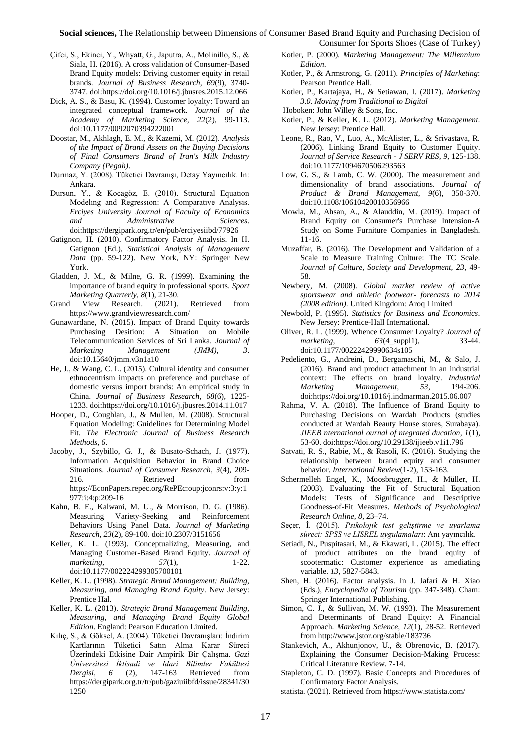**Social sciences,** The Relationship between Dimensions of Consumer Based Brand Equity and Purchasing Decision of Consumer for Sports Shoes (Case of Turkey)

- Çifci, S., Ekinci, Y., Whyatt, G., Japutra, A., Molinillo, S., & Siala, H. (2016). A cross validation of Consumer-Based Brand Equity models: Driving customer equity in retail brands. *Journal of Business Research, 69*(9), 3740- 3747. do[i:https://doi.org/10.1016/j.jbusres.2015.12.066](https://doi.org/10.1016/j.jbusres.2015.12.066)
- Dick, A. S., & Basu, K. (1994). Customer loyalty: Toward an integrated conceptual framework. *Journal of the Academy of Marketing Science, 22*(2), 99-113. doi:10.1177/0092070394222001
- Doostar, M., Akhlagh, E. M., & Kazemi, M. (2012). *Analysis of the Impact of Brand Assets on the Buying Decisions of Final Consumers Brand of Iran's Milk Industry Company (Pegah)*.
- Durmaz, Y. (2008). Tüketici Davranışı, Detay Yayıncılık. In: Ankara.
- Dursun, Y., & Kocagöz, E. (2010). Structural Equatıon Modelıng and Regressıon: A Comparatıve Analysıs. *Erciyes University Journal of Faculty of Economics and Administrative Sciences*. doi[:https://dergipark.org.tr/en/pub/erciyesiibd/77926](https://dergipark.org.tr/en/pub/erciyesiibd/77926)
- Gatignon, H. (2010). Confirmatory Factor Analysis. In H. Gatignon (Ed.), *Statistical Analysis of Management Data* (pp. 59-122). New York, NY: Springer New York.
- Gladden, J. M., & Milne, G. R. (1999). Examining the importance of brand equity in professional sports. *Sport Marketing Quarterly, 8*(1), 21-30.
- Grand View Research. (2021). Retrieved from <https://www.grandviewresearch.com/>
- Gunawardane, N. (2015). Impact of Brand Equity towards Purchasing Desition: A Situation on Mobile Telecommunication Services of Sri Lanka. *Journal of Marketing Management (JMM), 3*. doi:10.15640/jmm.v3n1a10
- He, J., & Wang, C. L. (2015). Cultural identity and consumer ethnocentrism impacts on preference and purchase of domestic versus import brands: An empirical study in China. *Journal of Business Research, 68*(6), 1225- 1233. do[i:https://doi.org/10.1016/j.jbusres.2014.11.017](https://doi.org/10.1016/j.jbusres.2014.11.017)
- Hooper, D., Coughlan, J., & Mullen, M. (2008). Structural Equation Modeling: Guidelines for Determining Model Fit. *The Electronic Journal of Business Research Methods, 6*.
- Jacoby, J., Szybillo, G. J., & Busato-Schach, J. (1977). Information Acquisition Behavior in Brand Choice Situations. *Journal of Consumer Research, 3*(4), 209- 216. Retrieved from [https://EconPapers.repec.org/RePEc:oup:jconrs:v:3:y:1](https://econpapers.repec.org/RePEc:oup:jconrs:v:3:y:1977:i:4:p:209-16) [977:i:4:p:209-16](https://econpapers.repec.org/RePEc:oup:jconrs:v:3:y:1977:i:4:p:209-16)
- Kahn, B. E., Kalwani, M. U., & Morrison, D. G. (1986). Measuring Variety-Seeking and Reinforcement Behaviors Using Panel Data. *Journal of Marketing Research, 23*(2), 89-100. doi:10.2307/3151656
- Keller, K. L. (1993). Conceptualizing, Measuring, and Managing Customer-Based Brand Equity. *Journal of marketing,* 57(1), 1-22. doi:10.1177/002224299305700101
- Keller, K. L. (1998). *Strategic Brand Management: Building, Measuring, and Managing Brand Equity*. New Jersey: Prentice Hal.
- Keller, K. L. (2013). *Strategic Brand Management Building, Measuring, and Managing Brand Equity Global Edition*. England: Pearson Education Limited.
- Kılıç, S., & Göksel, A. (2004). Tüketici Davranışları: İndirim Kartlarının Tüketici Satın Alma Karar Süreci Üzerindeki Etkisine Dair Ampirik Bir Çalışma. *Gazi Üniversitesi İktisadi ve İdari Bilimler Fakültesi Dergisi, 6* (2), 147-163 Retrieved from [https://dergipark.org.tr/tr/pub/gaziuiibfd/issue/28341/30](https://dergipark.org.tr/tr/pub/gaziuiibfd/issue/28341/301250) [1250](https://dergipark.org.tr/tr/pub/gaziuiibfd/issue/28341/301250)
- Kotler, P. (2000). *Marketing Management: The Millennium Edition*.
- Kotler, P., & Armstrong, G. (2011). *Principles of Marketing*: Pearson Prentice Hall.
- Kotler, P., Kartajaya, H., & Setiawan, I. (2017). *Marketing 3.0. Moving from Traditional to Digital*
- Hoboken: John Willey & Sons, Inc.
- Kotler, P., & Keller, K. L. (2012). *Marketing Management*. New Jersey: Prentice Hall.
- Leone, R., Rao, V., Luo, A., McAlister, L., & Srivastava, R. (2006). Linking Brand Equity to Customer Equity. *Journal of Service Research - J SERV RES, 9*, 125-138. doi:10.1177/1094670506293563
- Low, G. S., & Lamb, C. W. (2000). The measurement and dimensionality of brand associations. *Journal of Product & Brand Management, 9*(6), 350-370. doi:10.1108/10610420010356966
- Mowla, M., Ahsan, A., & Alauddin, M. (2019). Impact of Brand Equity on Consumer's Purchase Intension-A Study on Some Furniture Companies in Bangladesh. 11-16.
- Muzaffar, B. (2016). The Development and Validation of a Scale to Measure Training Culture: The TC Scale. *Journal of Culture, Society and Development, 23*, 49- 58.
- Newbery, M. (2008). *Global market review of active sportswear and athletic footwear- forecasts to 2014 (2008 edition)*. United Kingdom: Aroq Limited
- Newbold, P. (1995). *Statistics for Business and Economics*. New Jersey: Prentice-Hall International.
- Oliver, R. L. (1999). Whence Consumer Loyalty? *Journal of marketing, 63*(4\_suppl1), 33-44. doi:10.1177/00222429990634s105
- Pedeliento, G., Andreini, D., Bergamaschi, M., & Salo, J. (2016). Brand and product attachment in an industrial context: The effects on brand loyalty. *Industrial Marketing Management, 53*, 194-206. doi[:https://doi.org/10.1016/j.indmarman.2015.06.007](https://doi.org/10.1016/j.indmarman.2015.06.007)
- Rahma, V. A. (2018). The Influence of Brand Equity to Purchasing Decisions on Wardah Products (studies conducted at Wardah Beauty House stores, Surabaya). *JIEEB nternational ournal of ntegrated ducation, 1*(1), 53-60. do[i:https://doi.org/10.29138/ijieeb.v1i1.796](https://doi.org/10.29138/ijieeb.v1i1.796)
- Satvati, R. S., Rabie, M., & Rasoli, K. (2016). Studying the relationship between brand equity and consumer behavior. *International Review*(1-2), 153-163.
- Schermelleh Engel, K., Moosbrugger, H., & Müller, H. (2003). Evaluating the Fit of Structural Equation Models: Tests of Significance and Descriptive Goodness-of-Fit Measures. *Methods of Psychological Research Online, 8*, 23–74.
- Seçer, İ. (2015). *Psikolojik test geliştirme ve uyarlama süreci: SPSS ve LISREL uygulamaları*: Anı yayıncılık.
- Setiadi, N., Puspitasari, M., & Ekawati, L. (2015). The effect of product attributes on the brand equity of scootermatic: Customer experience as amediating variable. *13*, 5827-5843.
- Shen, H. (2016). Factor analysis. In J. Jafari & H. Xiao (Eds.), *Encyclopedia of Tourism* (pp. 347-348). Cham: Springer International Publishing.
- Simon, C. J., & Sullivan, M. W. (1993). The Measurement and Determinants of Brand Equity: A Financial Approach. *Marketing Science, 12*(1), 28-52. Retrieved fro[m http://www.jstor.org/stable/183736](http://www.jstor.org/stable/183736)
- Stankevich, A., Akhunjonov, U., & Obrenovic, B. (2017). Explaining the Consumer Decision-Making Process: Critical Literature Review. 7-14.
- Stapleton, C. D. (1997). Basic Concepts and Procedures of Confirmatory Factor Analysis.

statista. (2021). Retrieved from<https://www.statista.com/>